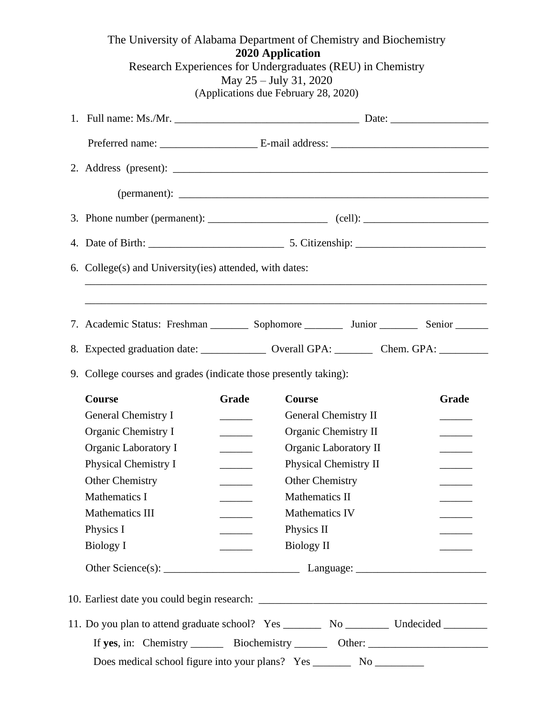| The University of Alabama Department of Chemistry and Biochemistry<br>2020 Application<br>Research Experiences for Undergraduates (REU) in Chemistry<br>May 25 – July 31, 2020<br>(Applications due February 28, 2020) |                                                                                                            |                                                               |                       |       |  |
|------------------------------------------------------------------------------------------------------------------------------------------------------------------------------------------------------------------------|------------------------------------------------------------------------------------------------------------|---------------------------------------------------------------|-----------------------|-------|--|
|                                                                                                                                                                                                                        |                                                                                                            |                                                               |                       |       |  |
|                                                                                                                                                                                                                        |                                                                                                            |                                                               |                       |       |  |
|                                                                                                                                                                                                                        |                                                                                                            |                                                               |                       |       |  |
|                                                                                                                                                                                                                        |                                                                                                            |                                                               |                       |       |  |
|                                                                                                                                                                                                                        | 3. Phone number (permanent): ________________________ (cell): __________________                           |                                                               |                       |       |  |
|                                                                                                                                                                                                                        |                                                                                                            |                                                               |                       |       |  |
|                                                                                                                                                                                                                        | 6. College(s) and University (ies) attended, with dates:                                                   |                                                               |                       |       |  |
|                                                                                                                                                                                                                        |                                                                                                            |                                                               |                       |       |  |
|                                                                                                                                                                                                                        |                                                                                                            |                                                               |                       |       |  |
|                                                                                                                                                                                                                        | 7. Academic Status: Freshman __________ Sophomore ____________ Junior __________ Senior _________          |                                                               |                       |       |  |
|                                                                                                                                                                                                                        | 8. Expected graduation date: ________________ Overall GPA: _________ Chem. GPA: ________                   |                                                               |                       |       |  |
|                                                                                                                                                                                                                        | 9. College courses and grades (indicate those presently taking):                                           |                                                               |                       |       |  |
|                                                                                                                                                                                                                        | <b>Course</b>                                                                                              | Grade                                                         | <b>Course</b>         | Grade |  |
|                                                                                                                                                                                                                        | General Chemistry I                                                                                        | <u> 1999 - Jan Jan Jawa</u>                                   | General Chemistry II  |       |  |
|                                                                                                                                                                                                                        | Organic Chemistry I                                                                                        | $\mathcal{L}^{\text{max}}$ , where $\mathcal{L}^{\text{max}}$ | Organic Chemistry II  |       |  |
|                                                                                                                                                                                                                        | Organic Laboratory I<br>Organic Laboratory II                                                              |                                                               |                       |       |  |
|                                                                                                                                                                                                                        | Physical Chemistry I<br>Physical Chemistry II<br>$\mathcal{L}(\mathcal{L})$ and $\mathcal{L}(\mathcal{L})$ |                                                               |                       |       |  |
|                                                                                                                                                                                                                        | Other Chemistry                                                                                            |                                                               | Other Chemistry       |       |  |
|                                                                                                                                                                                                                        | Mathematics I                                                                                              | <u>and the state</u>                                          | Mathematics II        |       |  |
|                                                                                                                                                                                                                        | <b>Mathematics III</b>                                                                                     | $\frac{1}{2}$ . The set of $\frac{1}{2}$                      | <b>Mathematics IV</b> |       |  |
|                                                                                                                                                                                                                        | Physics I                                                                                                  | $\overline{\phantom{a}}$                                      | Physics II            |       |  |
|                                                                                                                                                                                                                        | <b>Biology I</b>                                                                                           | $\frac{1}{2}$ . The set of $\frac{1}{2}$                      | Biology II            |       |  |
|                                                                                                                                                                                                                        |                                                                                                            |                                                               |                       |       |  |
|                                                                                                                                                                                                                        |                                                                                                            |                                                               |                       |       |  |
|                                                                                                                                                                                                                        | 11. Do you plan to attend graduate school? Yes __________ No _____________ Undecided __________            |                                                               |                       |       |  |
|                                                                                                                                                                                                                        | If yes, in: Chemistry ________ Biochemistry _________ Other: ____________________                          |                                                               |                       |       |  |
|                                                                                                                                                                                                                        |                                                                                                            |                                                               |                       |       |  |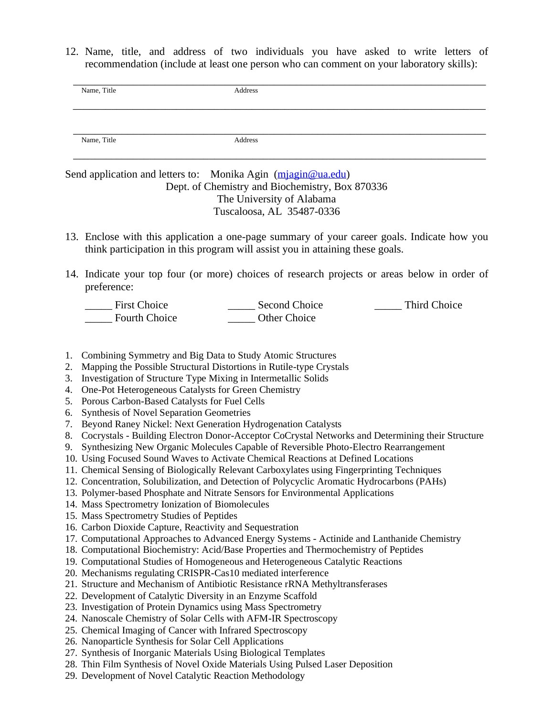12. Name, title, and address of two individuals you have asked to write letters of recommendation (include at least one person who can comment on your laboratory skills):

| Name, Title | Address |  |
|-------------|---------|--|
|             |         |  |
| Name, Title | Address |  |

## Send application and letters to: Monika Agin [\(mjagin@ua.edu\)](mailto:mjagin@ua.edu) Dept. of Chemistry and Biochemistry, Box 870336 The University of Alabama Tuscaloosa, AL 35487-0336

- 13. Enclose with this application a one-page summary of your career goals. Indicate how you think participation in this program will assist you in attaining these goals.
- 14. Indicate your top four (or more) choices of research projects or areas below in order of preference:

| <b>First Choice</b> | Second Choice | <b>Third Choice</b> |
|---------------------|---------------|---------------------|
| Fourth Choice       | Other Choice  |                     |

- 1. Combining Symmetry and Big Data to Study Atomic Structures
- 2. Mapping the Possible Structural Distortions in Rutile-type Crystals
- 3. Investigation of Structure Type Mixing in Intermetallic Solids
- 4. One-Pot Heterogeneous Catalysts for Green Chemistry
- 5. Porous Carbon-Based Catalysts for Fuel Cells
- 6. Synthesis of Novel Separation Geometries
- 7. Beyond Raney Nickel: Next Generation Hydrogenation Catalysts
- 8. Cocrystals Building Electron Donor-Acceptor CoCrystal Networks and Determining their Structure
- 9. Synthesizing New Organic Molecules Capable of Reversible Photo-Electro Rearrangement
- 10. Using Focused Sound Waves to Activate Chemical Reactions at Defined Locations
- 11. Chemical Sensing of Biologically Relevant Carboxylates using Fingerprinting Techniques
- 12. Concentration, Solubilization, and Detection of Polycyclic Aromatic Hydrocarbons (PAHs)
- 13. Polymer-based Phosphate and Nitrate Sensors for Environmental Applications
- 14. Mass Spectrometry Ionization of Biomolecules
- 15. Mass Spectrometry Studies of Peptides
- 16. Carbon Dioxide Capture, Reactivity and Sequestration
- 17. Computational Approaches to Advanced Energy Systems Actinide and Lanthanide Chemistry
- 18. Computational Biochemistry: Acid/Base Properties and Thermochemistry of Peptides
- 19. Computational Studies of Homogeneous and Heterogeneous Catalytic Reactions
- 20. Mechanisms regulating CRISPR-Cas10 mediated interference
- 21. Structure and Mechanism of Antibiotic Resistance rRNA Methyltransferases
- 22. Development of Catalytic Diversity in an Enzyme Scaffold
- 23. Investigation of Protein Dynamics using Mass Spectrometry
- 24. Nanoscale Chemistry of Solar Cells with AFM-IR Spectroscopy
- 25. Chemical Imaging of Cancer with Infrared Spectroscopy
- 26. Nanoparticle Synthesis for Solar Cell Applications
- 27. Synthesis of Inorganic Materials Using Biological Templates
- 28. Thin Film Synthesis of Novel Oxide Materials Using Pulsed Laser Deposition
- 29. Development of Novel Catalytic Reaction Methodology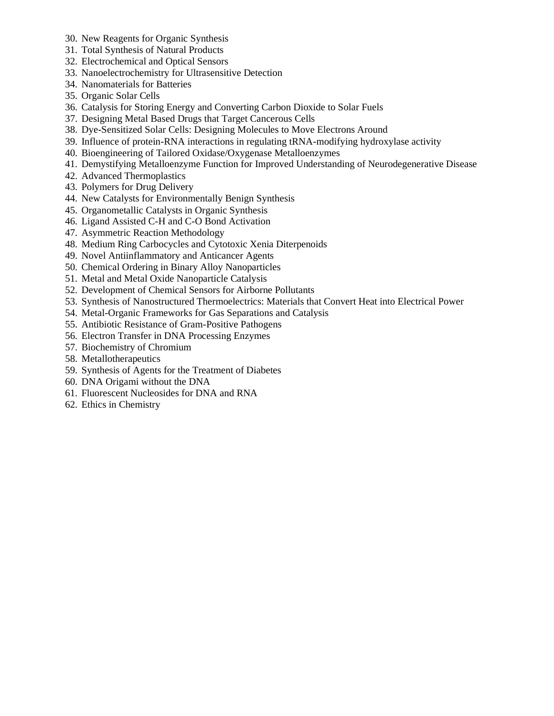- 30. New Reagents for Organic Synthesis
- 31. Total Synthesis of Natural Products
- 32. Electrochemical and Optical Sensors
- 33. Nanoelectrochemistry for Ultrasensitive Detection
- 34. Nanomaterials for Batteries
- 35. Organic Solar Cells
- 36. Catalysis for Storing Energy and Converting Carbon Dioxide to Solar Fuels
- 37. Designing Metal Based Drugs that Target Cancerous Cells
- 38. Dye-Sensitized Solar Cells: Designing Molecules to Move Electrons Around
- 39. Influence of protein-RNA interactions in regulating tRNA-modifying hydroxylase activity
- 40. Bioengineering of Tailored Oxidase/Oxygenase Metalloenzymes
- 41. Demystifying Metalloenzyme Function for Improved Understanding of Neurodegenerative Disease
- 42. Advanced Thermoplastics
- 43. Polymers for Drug Delivery
- 44. New Catalysts for Environmentally Benign Synthesis
- 45. Organometallic Catalysts in Organic Synthesis
- 46. Ligand Assisted C-H and C-O Bond Activation
- 47. Asymmetric Reaction Methodology
- 48. Medium Ring Carbocycles and Cytotoxic Xenia Diterpenoids
- 49. Novel Antiinflammatory and Anticancer Agents
- 50. Chemical Ordering in Binary Alloy Nanoparticles
- 51. Metal and Metal Oxide Nanoparticle Catalysis
- 52. Development of Chemical Sensors for Airborne Pollutants
- 53. Synthesis of Nanostructured Thermoelectrics: Materials that Convert Heat into Electrical Power
- 54. Metal-Organic Frameworks for Gas Separations and Catalysis
- 55. Antibiotic Resistance of Gram-Positive Pathogens
- 56. Electron Transfer in DNA Processing Enzymes
- 57. Biochemistry of Chromium
- 58. Metallotherapeutics
- 59. Synthesis of Agents for the Treatment of Diabetes
- 60. DNA Origami without the DNA
- 61. Fluorescent Nucleosides for DNA and RNA
- 62. Ethics in Chemistry